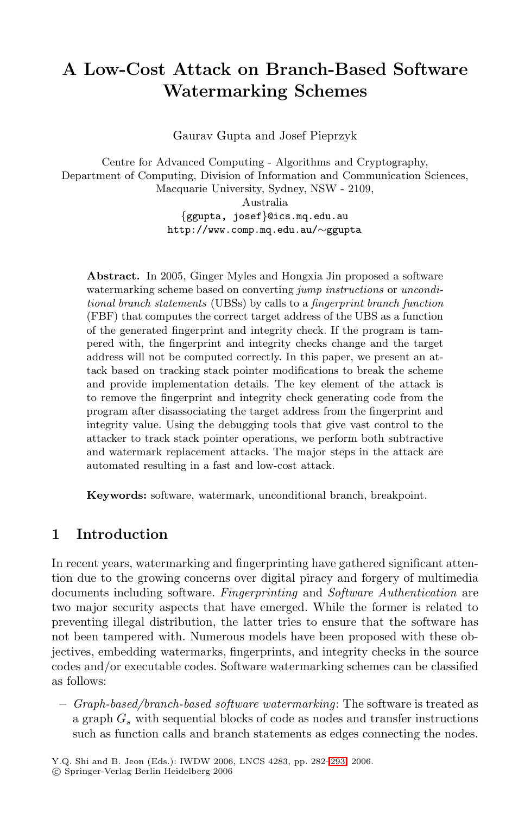# **A Low-Cost Attack on Branch-Based Software Watermarking Schemes**

Gaurav Gupta and Josef Pieprzyk

Centre for Advanced Computing - Algorithms and Cryptography, Department of Computing, Division of Information and Communication Sciences, Macquarie University, Sydney, NSW - 2109, Australia {ggupta, josef}@ics.mq.edu.au

http://www.comp.mq.edu.au/∼ggupta

**Abstract.** In 2005, Ginger Myles and Hongxia Jin proposed a software watermarking scheme based on converting *jump instructions* or *unconditional branch statements* (UBSs) by calls to a *fingerprint branch function* (FBF) that computes the correct target address of the UBS as a function of the generated fingerprint and integrity check. If the program is tampered with, the fingerprint and integrity checks change and the target address will not be computed correctly. In this paper, we present an attack based on tracking stack pointer modifications to break the scheme and provide implementation details. The key element of the attack is to remove the fingerprint and integrity check generating code from the program after disassociating the target address from the fingerprint and integrity value. Using the debugging tools that give vast control to the attacker to track stack pointer operations, we perform both subtractive and watermark replacement attacks. The major steps in the attack are automated resulting in a fast and low-cost attack.

**Keywords:** software, watermark, unconditional branch, breakpoint.

# **1 Introduction**

In recent years, watermarking and fingerprinting have gathered significant attention due to the growing concerns over digital piracy and forgery of multimedia documents including software. *Fingerprinting* and *Software Authentication* are two major security aspects that have emerged. While the former is related to preventing illegal distribution, the latter tries to ensure that the software has not been tampered with. Numerous models have been proposed with these objectives, embedding watermarks, [fing](#page-10-0)erprints, and integrity checks in the source codes and/or executable codes. Software watermarking schemes can be classified as follows:

**–** *Graph-based/branch-based software watermarking*: The software is treated as a graph G*<sup>s</sup>* with sequential blocks of code as nodes and transfer instructions such as function calls and branch statements as edges connecting the nodes.

Y.Q. Shi and B. Jeon (Eds.): IWDW 2006, LNCS 4283, pp. 282–293, 2006. -c Springer-Verlag Berlin Heidelberg 2006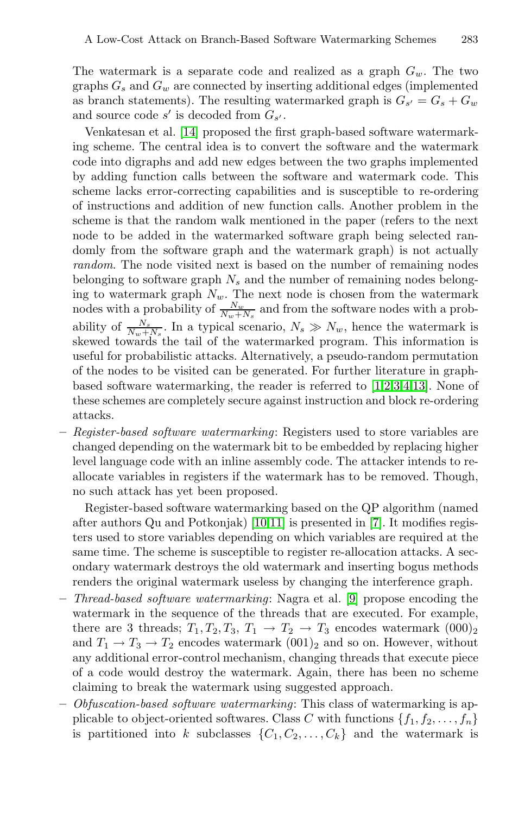The watermark is a separate code and realized as a graph  $G_w$ . The two graphs  $G_s$  and  $G_w$  are connected by inserting additional edges (implemented as branch statements). The resulting watermarked graph is  $G_{s'} = G_s + G_w$ and source code  $s'$  is decoded from  $G_{s'}$ .

Venkatesan et al. [14] proposed the first graph-based software watermarking scheme. The central idea is to convert the software and the watermark code into digraphs and add new edges between the two graphs implemented by adding function calls between the software and watermark code. This scheme lacks error-correcting capabilities and is susceptible to re-ordering of instructions and addition of new function calls. Another problem in the scheme is that the random walk mentioned in the paper (refers to the next node to be added in the watermarked software graph being selected randomly from the software graph and the watermark graph) is not actually *random*. The node visited next is ba[se](#page-10-1)[d](#page-10-2) [o](#page-10-3)[n](#page-10-4) [the](#page-11-0) number of remaining nodes belonging to software graph N*<sup>s</sup>* and the number of remaining nodes belonging to watermark graph N*w*. The next node is chosen from the watermark nodes with a probability of  $\frac{N_w}{N_w + N_s}$  and from the software nodes with a probability of  $\frac{N_s}{N_w+N_s}$ . In a typical scenario,  $N_s \gg N_w$ , hence the watermark is skewed towards the tail of the watermarked program. This information is useful for probabilistic attacks. Alternatively, a pseudo-random permutation of the nodes to be visited can be generated. For further literature in graphbased software watermarking, the reader is referred to [1,2,3,4,13]. None of these schemes [are](#page-11-1) [com](#page-11-2)pletely secure [aga](#page-10-5)inst instruction and block re-ordering attacks.

**–** *Register-based software watermarking*: Registers used to store variables are changed depending on the watermark bit to be embedded by replacing higher level language code with an inline assembly code. The attacker intends to reallocate variables in registers if the watermark has to be removed. Though, no such attack has yet been pro[po](#page-10-6)sed.

Register-based software watermarking based on the QP algorithm (named after authors Qu and Potkonjak) [10,11] is presented in [7]. It modifies registers used to store variables depending on which variables are required at the same time. The scheme is susceptible to register re-allocation attacks. A secondary watermark destroys the old watermark and inserting bogus methods renders the original watermark useless by changing the interference graph.

- **–** *Thread-based software watermarking*: Nagra et al. [9] propose encoding the watermark in the sequence of the threads that are executed. For example, there are 3 threads;  $T_1, T_2, T_3, T_1 \rightarrow T_2 \rightarrow T_3$  encodes watermark  $(000)_2$ and  $T_1 \rightarrow T_3 \rightarrow T_2$  encodes watermark  $(001)_2$  and so on. However, without any additional error-control mechanism, changing threads that execute piece of a code would destroy the watermark. Again, there has been no scheme claiming to break the watermark using suggested approach.
- **–** *Obfuscation-based software watermarking*: This class of watermarking is applicable to object-oriented softwares. Class C with functions  $\{f_1, f_2, \ldots, f_n\}$ is partitioned into k subclasses  $\{C_1, C_2, \ldots, C_k\}$  and the watermark is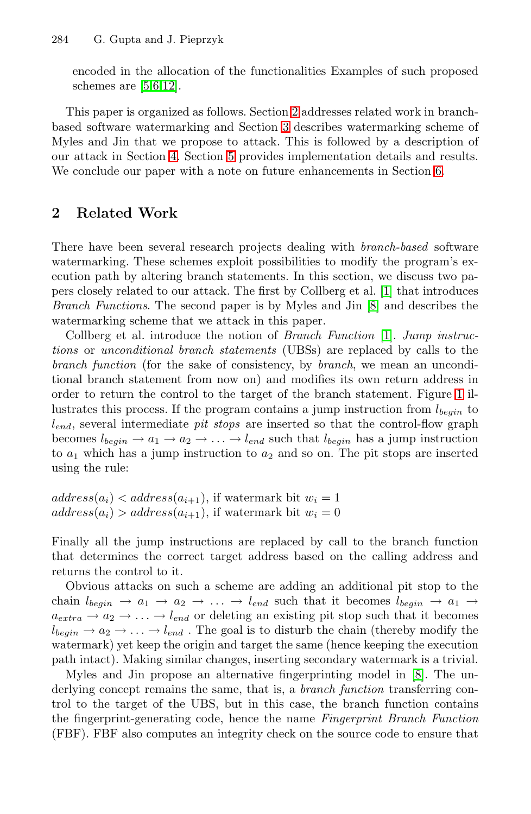#### 28[4](#page-5-0) G. Gu[pt](#page-7-0)a and J. Pieprzyk

encoded in the allocation of the functionalities Examples of such proposed schemes are [5,6,12].

This paper is organized as follows. Section 2 addresses related work in branchbased software watermarking and Section 3 describes watermarking scheme of Myles and Jin that we propose to attack. This is followed by a description of our attack in Section 4. Section 5 provides implementation details and results. We conclude our paper with a note on fut[ure](#page-10-1) enhancements in Section 6.

### **2 Related Work**

There have been several research projects dealing with *branch-based* software watermarking. These schemes exploit possibilities to modify the program's execution path by altering branch statements. In this sec[tio](#page-3-0)n, we discuss two papers closely related to our attack. The first by Collberg et al. [1] that introduces *Branch Functions*. The second paper is by Myles and Jin [8] and describes the watermarking scheme that we attack in this paper.

Collberg et al. introduce the notion of *Branch Function* [1]. *Jump instructions* or *unconditional branch statements* (UBSs) are replaced by calls to the *branch function* (for the sake of consistency, by *branch*, we mean an unconditional branch statement from now on) and modifies its own return address in order to return the control to the target of the branch statement. Figure 1 illustrates this process. If the program contains a jump instruction from l*begin* to l*end*, several intermediate *pit stops* are inserted so that the control-flow graph becomes  $l_{begin} \rightarrow a_1 \rightarrow a_2 \rightarrow \ldots \rightarrow l_{end}$  such that  $l_{begin}$  has a jump instruction to  $a_1$  which has a jump instruction to  $a_2$  and so on. The pit stops are inserted using the rule:

 $address(a_i) < address(a_{i+1}),$  if watermark bit  $w_i = 1$  $address(a_i) > address(a_{i+1}),$  if watermark bit  $w_i = 0$ 

Finally all the jump instructions are replaced by call to the branch function that determines the correct target address ba[sed](#page-10-7) on the calling address and returns the control to it.

Obvious attacks on such a scheme are adding an additional pit stop to the chain  $l_{begin} \rightarrow a_1 \rightarrow a_2 \rightarrow \ldots \rightarrow l_{end}$  such that it becomes  $l_{begin} \rightarrow a_1 \rightarrow a_2 \rightarrow \ldots \rightarrow a_{end}$  $a_{extra} \rightarrow a_2 \rightarrow \ldots \rightarrow l_{end}$  or deleting an existing pit stop such that it becomes  $l_{beqin} \rightarrow a_2 \rightarrow \ldots \rightarrow l_{end}$ . The goal is to disturb the chain (thereby modify the watermark) yet keep the origin and target the same (hence keeping the execution path intact). Making similar changes, inserting secondary watermark is a trivial.

Myles and Jin propose an alternative fingerprinting model in [8]. The underlying concept remains the same, that is, a *branch function* transferring control to the target of the UBS, but in this case, the branch function contains the fingerprint-generating code, hence the name *Fingerprint Branch Function* (FBF). FBF also computes an integrity check on the source code to ensure that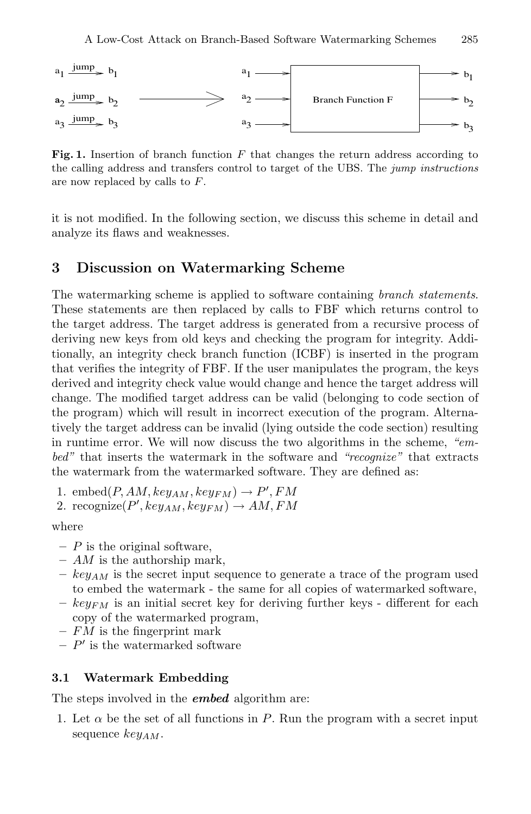

<span id="page-3-0"></span>**Fig. 1.** Insertion of branch function *F* that changes the return address according to the calling address and transfers control to target of the UBS. The *jump instructions* are now replaced by calls to *F*.

it is not modified. In the following section, we discuss this scheme in detail and analyze its flaws and weaknesses.

#### **3 Discussion on Watermarking Scheme**

The watermarking scheme is applied to software containing *branch statements*. These statements are then replaced by calls to FBF which returns control to the target address. The target address is generated from a recursive process of deriving new keys from old keys and checking the program for integrity. Additionally, an integrity check branch function (ICBF) is inserted in the program that verifies the integrity of FBF. If the user manipulates the program, the keys derived and integrity check value would change and hence the target address will change. The modified target address can be valid (belonging to code section of the program) which will result in incorrect execution of the program. Alternatively the target address can be invalid (lying outside the code section) resulting in runtime error. We will now discuss the two algorithms in the scheme, *"embed"* that inserts the watermark in the software and *"recognize"* that extracts the watermark from the watermarked software. They are defined as:

- 1. embed $(P, AM, key_{AM}, key_{FM}) \rightarrow P', FM$
- 2. recognize( $P', key_{AM}, key_{FM}) \rightarrow AM, FM$

where

- **–** P is the original software,
- **–** AM is the authorship mark,
- **–** key*AM* is the secret input sequence to generate a trace of the program used to embed the watermark - the same for all copies of watermarked software,
- $-$  key<sub>*FM*</sub> is an initial secret key for deriving further keys different for each copy of the watermarked program,
- **–** FM is the fingerprint mark
- **–** P is the watermarked software

#### **3.1 Watermark Embedding**

The steps involved in the *embed* algorithm are:

1. Let  $\alpha$  be the set of all functions in P. Run the program with a secret input sequence key*AM*.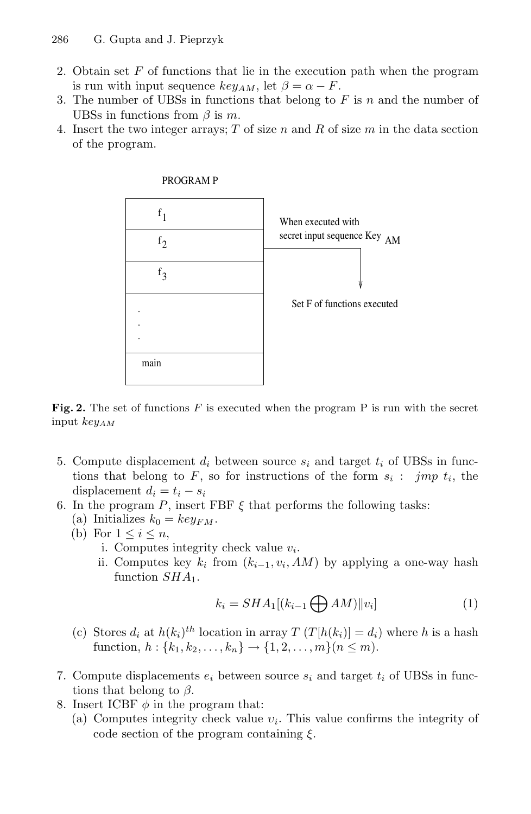- 2. Obtain set  $F$  of functions that lie in the execution path when the program is run with input sequence  $key_{AM}$ , let  $\beta = \alpha - F$ .
- 3. The number of UBSs in functions that belong to  $F$  is  $n$  and the number of UBSs in functions from  $\beta$  is m.
- 4. Insert the two integer arrays;  $T$  of size  $n$  and  $R$  of size  $m$  in the data section of the program.



PROGRAM P

**Fig. 2.** The set of functions *F* is executed when the program P is run with the secret input *keyAM*

- 5. Compute displacement  $d_i$  between source  $s_i$  and target  $t_i$  of UBSs in functions that belong to  $F$ , so for instructions of the form  $s_i$ : jmp  $t_i$ , the displacement  $d_i = t_i - s_i$
- 6. In the program P, insert FBF  $\xi$  that performs the following tasks:
	- (a) Initializes  $k_0 = key_{FM}$ .
	- (b) For  $1 \leq i \leq n$ ,
		- i. Computes integrity check value v*i*.
		- ii. Computes key  $k_i$  from  $(k_{i-1}, v_i, AM)$  by applying a one-way hash function  $SHA_1$ .

$$
k_i = SHA_1[(k_{i-1} \bigoplus AM)||v_i]
$$
 (1)

- (c) Stores  $d_i$  at  $h(k_i)^{th}$  location in array  $T(T[h(k_i)] = d_i)$  where h is a hash function,  $h: \{k_1, k_2, \ldots, k_n\} \to \{1, 2, \ldots, m\}(n \leq m).$
- 7. Compute displacements e*<sup>i</sup>* between source s*<sup>i</sup>* and target t*<sup>i</sup>* of UBSs in functions that belong to  $\beta$ .
- 8. Insert ICBF  $\phi$  in the program that:
	- (a) Computes integrity check value  $v_i$ . This value confirms the integrity of code section of the program containing  $\xi$ .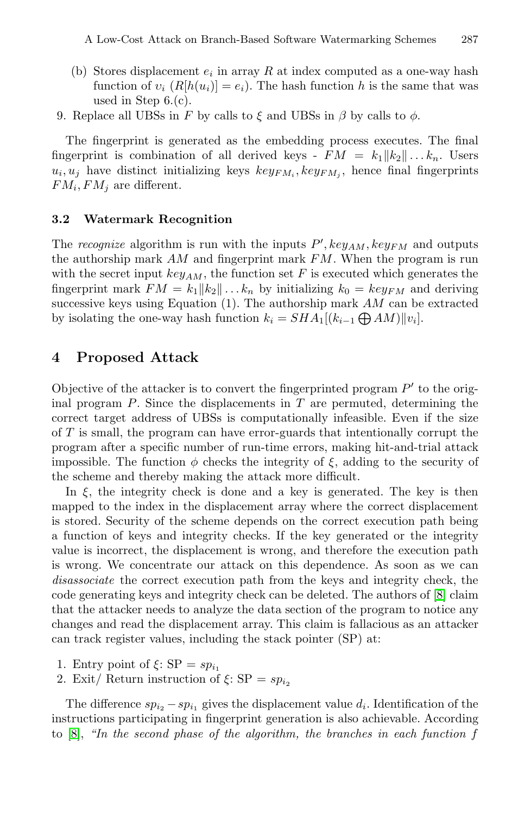- (b) Stores displacement e*<sup>i</sup>* in array R at index computed as a one-way hash function of  $v_i$  ( $R[h(u_i)] = e_i$ ). The hash function h is the same that was used in Step  $6.(c)$ .
- 9. Replace all UBSs in F by calls to  $\xi$  and UBSs in  $\beta$  by calls to  $\phi$ .

The fingerprint is generated as the embedding process executes. The final fingerprint is combination of all derived keys -  $FM = k_1 ||k_2|| \dots k_n$ . Users  $u_i, u_j$  have distinct initializing keys  $key_{FM_i}$ ,  $key_{FM_i}$ , hence final fingerprints  $FM_i, FM_j$  are different.

#### <span id="page-5-0"></span>**3.2 Watermark Recognition**

The *recognize* algorithm is run with the inputs  $P'$ ,  $key_{AM}$ ,  $key_{FM}$  and outputs the authorship mark  $AM$  and fingerprint mark  $FM$ . When the program is run with the secret input  $key_{AM}$ , the function set F is executed which generates the fingerprint mark  $FM = k_1 ||k_2 || \dots k_n$  by initializing  $k_0 = key_{FM}$  and deriving successive keys using Equation (1). The authorship mark AM can be extracted by isolating the one-way hash function  $k_i = SHA_1[(k_{i-1} \bigoplus AM)||v_i]$ .

## **4 Proposed Attack**

Objective of the attacker is to convert the fingerprinted program  $P'$  to the original program  $P$ . Since the displacements in  $T$  are permuted, determining the correct target address of UBSs is computationally infeasible. Even if the size of  $T$  is small, the program can have error-guards that intentionally corrupt the program after a specific number of run-time errors, making hit-and-trial attack impossible. The function  $\phi$  checks the integrity of  $\xi$ , adding to the security of the scheme and thereby making the attack more di[fficu](#page-10-7)lt.

In  $\xi$ , the integrity check is done and a key is generated. The key is then mapped to the index in the displacement array where the correct displacement is stored. Security of the scheme depends on the correct execution path being a function of keys and integrity checks. If the key generated or the integrity value is incorrect, the displacement is wrong, and therefore the execution path is wrong. We concentrate our attack on this dependence. As soon as we can *disassociate* the correct execution path from the keys and integrity check, the code generating keys and integrity check can be deleted. The authors of [8] claim that the attacker needs to analyze the data section of the program to notice any changes and read the displacement array. This claim is fallacious as an attacker can track register values, including the stack pointer (SP) at:

- 1. Entry point of  $\xi$ : SP =  $sp_{i_1}$
- 2. Exit/ Return instruction of  $\xi$ : SP =  $sp_{i_2}$

The difference  $sp_{i_2} - sp_{i_1}$  gives the displacement value  $d_i$ . Identification of the instructions participating in fingerprint generation is also achievable. According to [8], *"In the second phase of the algorithm, the branches in each function* f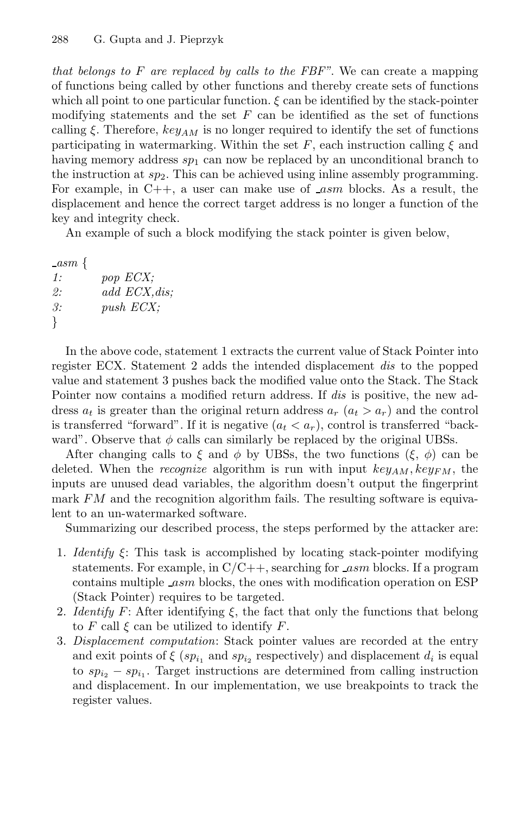*that belongs to* F *are replaced by calls to the FBF"*. We can create a mapping of functions being called by other functions and thereby create sets of functions which all point to one particular function.  $\xi$  can be identified by the stack-pointer modifying statements and the set  $F$  can be identified as the set of functions calling  $\xi$ . Therefore,  $key_{AM}$  is no longer required to identify the set of functions participating in watermarking. Within the set F, each instruction calling  $\xi$  and having memory address  $sp_1$  can now be replaced by an unconditional branch to the instruction at  $sp_2$ . This can be achieved using inline assembly programming. For example, in  $C++$ , a user can make use of *asm* blocks. As a result, the displacement and hence the correct target address is no longer a function of the key and integrity check.

An example of such a block modifying the stack pointer is given below,

| $-asm \{$       |                   |
|-----------------|-------------------|
| 1:              | pop ECX:          |
| 2:              | $add$ $ECX, dis;$ |
| $\mathcal{R}$ : | push $ECX$ ;      |
|                 |                   |

In the above code, statement 1 extracts the current value of Stack Pointer into register ECX. Statement 2 adds the intended displacement *dis* to the popped value and statement 3 pushes back the modified value onto the Stack. The Stack Pointer now contains a modified return address. If *dis* is positive, the new address  $a_t$  is greater than the original return address  $a_r$  ( $a_t > a_r$ ) and the control is transferred "forward". If it is negative  $(a_t < a_r)$ , control is transferred "backward". Observe that  $\phi$  calls can similarly be replaced by the original UBSs.

After changing calls to  $\xi$  and  $\phi$  by UBSs, the two functions  $(\xi, \phi)$  can be deleted. When the *recognize* algorithm is run with input key*AM*, key*FM*, the inputs are unused dead variables, the algorithm doesn't output the fingerprint mark  $FM$  and the recognition algorithm fails. The resulting software is equivalent to an un-watermarked software.

Summarizing our described process, the steps performed by the attacker are:

- 1. *Identify* ξ: This task is accomplished by locating stack-pointer modifying statements. For example, in  $C/C++$ , searching for *asm* blocks. If a program contains multiple asm blocks, the ones with modification operation on ESP (Stack Pointer) requires to be targeted.
- 2. *Identify* F: After identifying ξ, the fact that only the functions that belong to F call  $\xi$  can be utilized to identify F.
- 3. *Displacement computation*: Stack pointer values are recorded at the entry and exit points of  $\xi$  ( $sp_{i_1}$  and  $sp_{i_2}$  respectively) and displacement  $d_i$  is equal to  $sp_{i_2} - sp_{i_1}$ . Target instructions are determined from calling instruction and displacement. In our implementation, we use breakpoints to track the register values.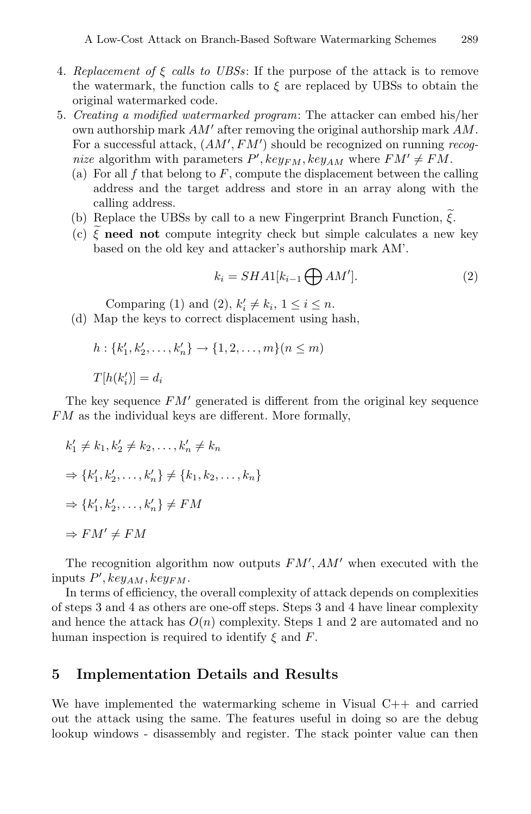- 4. *Replacement of* ξ *calls to UBSs*: If the purpose of the attack is to remove the watermark, the function calls to  $\xi$  are replaced by UBSs to obtain the original watermarked code.
- 5. *Creating a modified watermarked program*: The attacker can embed his/her own authorship mark  $AM'$  after removing the original authorship mark  $AM$ . For a successful attack,  $(AM', FM')$  should be recognized on running *recognize* algorithm with parameters  $P', \text{key}_{FM}, \text{key}_{AM}$  where  $FM' \neq FM$ .
	- (a) For all f that belong to  $F$ , compute the displacement between the calling address and the target address and store in an array along with the calling address.
	- (b) Replace the UBSs by call to a new Fingerprint Branch Function,  $\tilde{\xi}$ .
	- (c)  $\tilde{\xi}$  **need not** compute integrity check but simple calculates a new key based on the old key and attacker's authorship mark AM'.

$$
k_i = SHA1[k_{i-1} \bigoplus AM']
$$
 (2)

Comparing (1) and (2),  $k'_i \neq k_i$ ,  $1 \leq i \leq n$ .

(d) Map the keys to correct displacement using hash,

$$
h: \{k'_1, k'_2, \dots, k'_n\} \to \{1, 2, \dots, m\} (n \le m)
$$
  

$$
T[h(k'_i)] = d_i
$$

The key sequence  $FM'$  generated is different from the original key sequence FM as the individual keys are different. More formally,

$$
k'_1 \neq k_1, k'_2 \neq k_2, \dots, k'_n \neq k_n
$$
  
\n
$$
\Rightarrow \{k'_1, k'_2, \dots, k'_n\} \neq \{k_1, k_2, \dots, k_n\}
$$
  
\n
$$
\Rightarrow \{k'_1, k'_2, \dots, k'_n\} \neq FM
$$
  
\n
$$
\Rightarrow FM' \neq FM
$$

The recognition algorithm now outputs  $FM', AM'$  when executed with the inputs P , key*AM*, key*FM*.

In terms of efficiency, the overall complexity of attack depends on complexities of steps 3 and 4 as others are one-off steps. Steps 3 and 4 have linear complexity and hence the attack has  $O(n)$  complexity. Steps 1 and 2 are automated and no human inspection is required to identify  $\xi$  and F.

## <span id="page-7-0"></span>**5 Implementation Details and Results**

We have implemented the watermarking scheme in Visual C++ and carried out the attack using the same. The features useful in doing so are the debug lookup windows - disassembly and register. The stack pointer value can then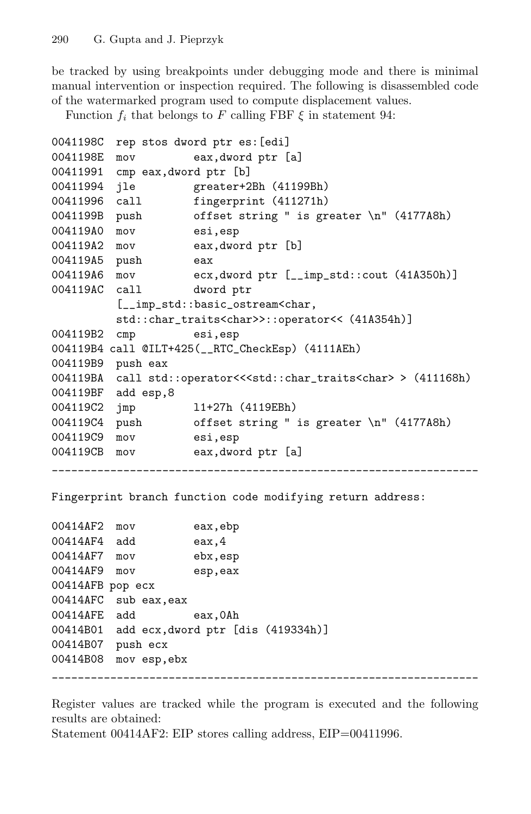be tracked by using breakpoints under debugging mode and there is minimal manual intervention or inspection required. The following is disassembled code of the watermarked program used to compute displacement values.

Function  $f_i$  that belongs to F calling FBF  $\xi$  in statement 94:

```
0041198C rep stos dword ptr es:[edi]
0041198E mov eax,dword ptr [a]
00411991 cmp eax,dword ptr [b]
00411994 jle greater+2Bh (41199Bh)
00411996 call fingerprint (411271h)
0041199B push offset string " is greater \n" (4177A8h)
004119A0 mov esi,esp
004119A2 mov eax,dword ptr [b]
004119A5 push eax
004119A6 mov ecx,dword ptr [__imp_std::cout (41A350h)]
004119AC call dword ptr
         [__imp_std::basic_ostream<char,
        std::char_traits<char>>::operator<< (41A354h)]
004119B2 cmp esi,esp
004119B4 call @ILT+425(__RTC_CheckEsp) (4111AEh)
004119B9 push eax
004119BA call std::operator<<<std::char_traits<char>>>>>>> (411168h)
004119BF add esp,8
004119C2 jmp l1+27h (4119EBh)
004119C4 push offset string " is greater \n" (4177A8h)
004119C9 mov esi,esp
004119CB mov eax,dword ptr [a]
__________________________________________________________________
Fingerprint branch function code modifying return address:
00414AF2 mov eax,ebp
00414AF4 add eax,4
00414AF7 mov ebx,esp
00414AF9 mov esp,eax
00414AFB pop ecx
00414AFC sub eax,eax
00414AFE add eax,0Ah
00414B01 add ecx,dword ptr [dis (419334h)]
00414B07 push ecx
00414B08 mov esp,ebx
__________________________________________________________________
```
Register values are tracked while the program is executed and the following results are obtained:

Statement 00414AF2: EIP stores calling address, EIP=00411996.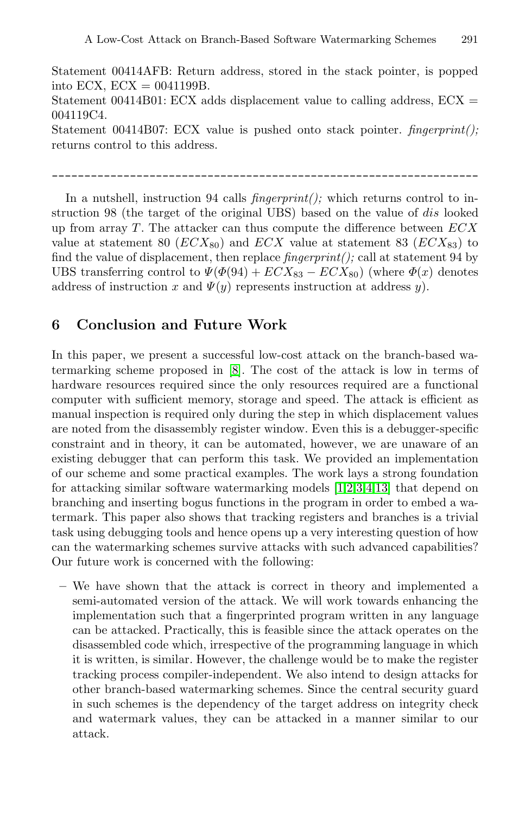Statement 00414AFB: Return address, stored in the stack pointer, is popped into ECX,  $ECX = 0041199B$ .

Statement 00414B01: ECX adds displacement value to calling address, ECX = 004119C4.

Statement 00414B07: ECX value is pushed onto stack pointer. *fingerprint();* returns control to this address.

\_\_\_\_\_\_\_\_\_\_\_\_\_\_\_\_\_\_\_\_\_\_\_\_\_\_\_\_\_\_\_\_\_\_\_\_\_\_\_\_\_\_\_\_\_\_\_\_\_\_\_\_\_\_\_\_\_\_\_\_\_\_\_\_\_\_

In a nutshell, instruction 94 calls *fingerprint();* which returns control to instruction 98 (the target of the original UBS) based on the value of dis looked up from array  $T$ . The attacker can thus compute the difference between  $ECX$ value at statement 80 ( $ECX_{80}$ ) and  $ECX$  value at statement 83 ( $ECX_{83}$ ) to find the value [of](#page-10-7) displacement, then replace *fingerprint();* call at statement 94 by UBS transferring control to  $\Psi(\Phi(94) + ECX_{83} - ECX_{80})$  (where  $\Phi(x)$  denotes address of instruction x and  $\Psi(y)$  represents instruction at address y).

### **6 Conclusion and Future Work**

In this paper, we present a successful low-cost attack on the branch-based watermarking scheme proposed in [[8\]](#page-10-1)[.](#page-10-2) [Th](#page-10-3)[e](#page-10-4) [co](#page-11-0)st of the attack is low in terms of hardware resources required since the only resources required are a functional computer with sufficient memory, storage and speed. The attack is efficient as manual inspection is required only during the step in which displacement values are noted from the disassembly register window. Even this is a debugger-specific constraint and in theory, it can be automated, however, we are unaware of an existing debugger that can perform this task. We provided an implementation of our scheme and some practical examples. The work lays a strong foundation for attacking similar software watermarking models [1,2,3,4,13] that depend on branching and inserting bogus functions in the program in order to embed a watermark. This paper also shows that tracking registers and branches is a trivial task using debugging tools and hence opens up a very interesting question of how can the watermarking schemes survive attacks with such advanced capabilities? Our future work is concerned with the following:

**–** We have shown that the attack is correct in theory and implemented a semi-automated version of the attack. We will work towards enhancing the implementation such that a fingerprinted program written in any language can be attacked. Practically, this is feasible since the attack operates on the disassembled code which, irrespective of the programming language in which it is written, is similar. However, the challenge would be to make the register tracking process compiler-independent. We also intend to design attacks for other branch-based watermarking schemes. Since the central security guard in such schemes is the dependency of the target address on integrity check and watermark values, they can be attacked in a manner similar to our attack.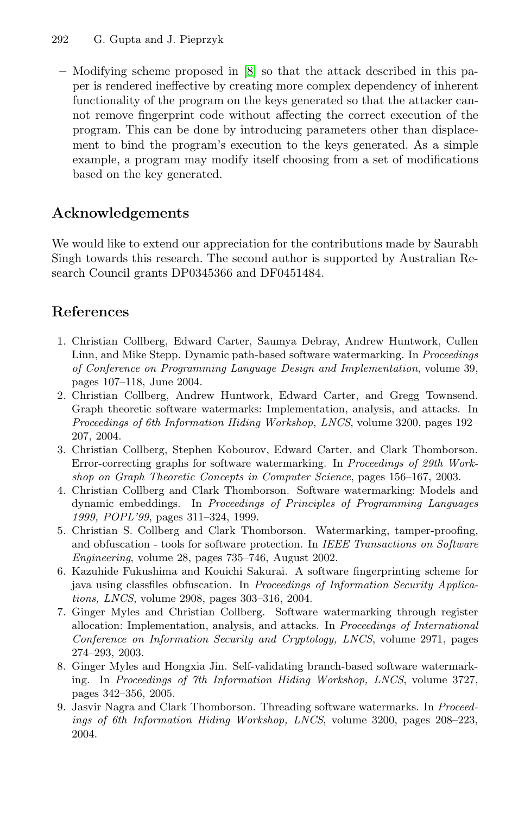#### 292 G. Gupta and J. Pieprzyk

**–** Modifying scheme proposed in [8] so that the attack described in this paper is rendered ineffective by creating more complex dependency of inherent functionality of the program on the keys generated so that the attacker cannot remove fingerprint code without affecting the correct execution of the program. This can be done by introducing parameters other than displacement to bind the program's execution to the keys generated. As a simple example, a program may modify itself choosing from a set of modifications based on the key generated.

# <span id="page-10-1"></span><span id="page-10-0"></span>**Acknowledgements**

<span id="page-10-2"></span>We would like to extend our appreciation for the contributions made by Saurabh Singh towards this research. The second author is supported by Australian Research Council grants DP0345366 and DF0451484.

### <span id="page-10-4"></span><span id="page-10-3"></span>**References**

- 1. Christian Collberg, Edward Carter, Saumya Debray, Andrew Huntwork, Cullen Linn, and Mike Stepp. Dynamic path-based software watermarking. In *Proceedings of Conference on Programming Language Design and Implementation*, volume 39, pages 107–118, June 2004.
- 2. Christian Collberg, Andrew Huntwork, Edward Carter, and Gregg Townsend. Graph theoretic software watermarks: Implementation, analysis, and attacks. In *Proceedings of 6th Information Hiding Workshop, LNCS*, volume 3200, pages 192– 207, 2004.
- 3. Christian Collberg, Stephen Kobourov, Edward Carter, and Clark Thomborson. Error-correcting graphs for software watermarking. In *Proceedings of 29th Workshop on Graph Theoretic Concepts in Computer Science*, pages 156–167, 2003.
- <span id="page-10-5"></span>4. Christian Collberg and Clark Thomborson. Software watermarking: Models and dynamic embeddings. In *Proceedings of Principles of Programming Languages 1999, POPL'99*, pages 311–324, 1999.
- <span id="page-10-7"></span>5. Christian S. Collberg and Clark Thomborson. Watermarking, tamper-proofing, and obfuscation - tools for software protection. In *IEEE Transactions on Software Engineering*, volume 28, pages 735–746, August 2002.
- <span id="page-10-6"></span>6. Kazuhide Fukushima and Kouichi Sakurai. A software fingerprinting scheme for java using classfiles obfuscation. In *Proceedings of Information Security Applications, LNCS*, volume 2908, pages 303–316, 2004.
- 7. Ginger Myles and Christian Collberg. Software watermarking through register allocation: Implementation, analysis, and attacks. In *Proceedings of International Conference on Information Security and Cryptology, LNCS*, volume 2971, pages 274–293, 2003.
- 8. Ginger Myles and Hongxia Jin. Self-validating branch-based software watermarking. In *Proceedings of 7th Information Hiding Workshop, LNCS*, volume 3727, pages 342–356, 2005.
- 9. Jasvir Nagra and Clark Thomborson. Threading software watermarks. In *Proceedings of 6th Information Hiding Workshop, LNCS*, volume 3200, pages 208–223, 2004.